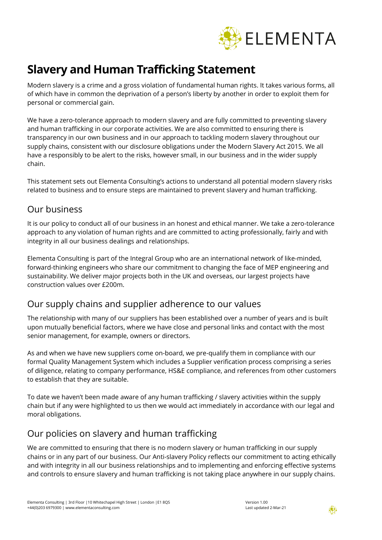

# **Slavery and Human Trafficking Statement**

Modern slavery is a crime and a gross violation of fundamental human rights. It takes various forms, all of which have in common the deprivation of a person's liberty by another in order to exploit them for personal or commercial gain.

We have a zero-tolerance approach to modern slavery and are fully committed to preventing slavery and human trafficking in our corporate activities. We are also committed to ensuring there is transparency in our own business and in our approach to tackling modern slavery throughout our supply chains, consistent with our disclosure obligations under the Modern Slavery Act 2015. We all have a responsibly to be alert to the risks, however small, in our business and in the wider supply chain.

This statement sets out Elementa Consulting's actions to understand all potential modern slavery risks related to business and to ensure steps are maintained to prevent slavery and human trafficking.

#### Our business

It is our policy to conduct all of our business in an honest and ethical manner. We take a zero-tolerance approach to any violation of human rights and are committed to acting professionally, fairly and with integrity in all our business dealings and relationships.

Elementa Consulting is part of the Integral Group who are an international network of like-minded, forward-thinking engineers who share our commitment to changing the face of MEP engineering and sustainability. We deliver major projects both in the UK and overseas, our largest projects have construction values over £200m.

#### Our supply chains and supplier adherence to our values

The relationship with many of our suppliers has been established over a number of years and is built upon mutually beneficial factors, where we have close and personal links and contact with the most senior management, for example, owners or directors.

As and when we have new suppliers come on-board, we pre-qualify them in compliance with our formal Quality Management System which includes a Supplier verification process comprising a series of diligence, relating to company performance, HS&E compliance, and references from other customers to establish that they are suitable.

To date we haven't been made aware of any human trafficking / slavery activities within the supply chain but if any were highlighted to us then we would act immediately in accordance with our legal and moral obligations.

## Our policies on slavery and human trafficking

We are committed to ensuring that there is no modern slavery or human trafficking in our supply chains or in any part of our business. Our Anti-slavery Policy reflects our commitment to acting ethically and with integrity in all our business relationships and to implementing and enforcing effective systems and controls to ensure slavery and human trafficking is not taking place anywhere in our supply chains.